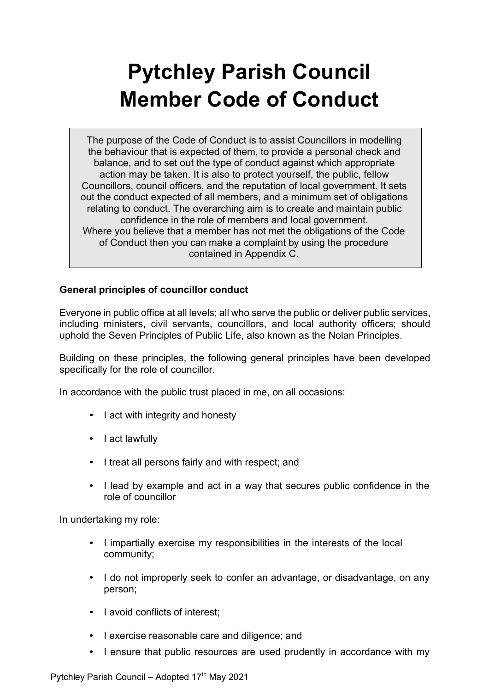# **Pytchley Parish Council Member Code of Conduct**

The purpose of the Code of Conduct is to assist Councillors in modelling the behaviour that is expected of them, to provide a personal check and balance, and to set out the type of conduct against which appropriate action may be taken. It is also to protect yourself, the public, fellow Councillors, council officers, and the reputation of local government. It sets out the conduct expected of all members, and a minimum set of obligations relating to conduct. The overarching aim is to create and maintain public confidence in the role of members and local government. Where you believe that a member has not met the obligations of the Code of Conduct then you can make a complaint by using the procedure contained in Appendix C.

# **General principles of councillor conduct**

Everyone in public office at all levels; all who serve the public or deliver public services, including ministers, civil servants, councillors, and local authority officers; should uphold the Seven Principles of Public Life, also known as the Nolan Principles.

Building on these principles, the following general principles have been developed specifically for the role of councillor.

In accordance with the public trust placed in me, on all occasions:

- I act with integrity and honesty
- I act lawfully
- I treat all persons fairly and with respect; and
- I lead by example and act in a way that secures public confidence in the role of councillor

In undertaking my role:

- I impartially exercise my responsibilities in the interests of the local community;
- I do not improperly seek to confer an advantage, or disadvantage, on any person;
- I avoid conflicts of interest;
- I exercise reasonable care and diligence; and
- I ensure that public resources are used prudently in accordance with my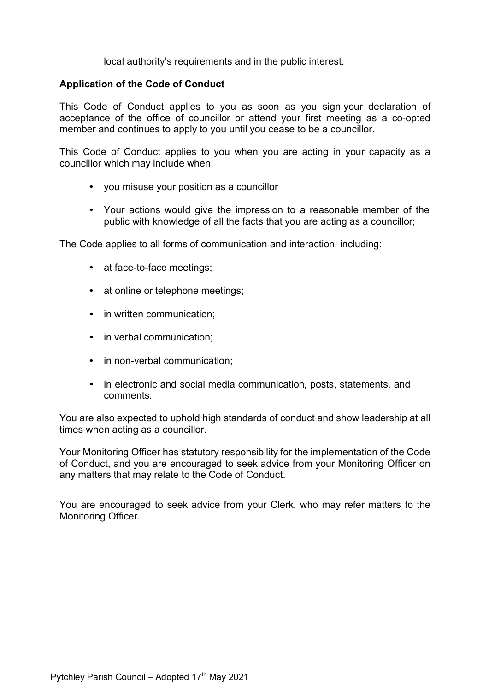local authority's requirements and in the public interest.

## **Application of the Code of Conduct**

This Code of Conduct applies to you as soon as you sign your declaration of acceptance of the office of councillor or attend your first meeting as a co-opted member and continues to apply to you until you cease to be a councillor.

This Code of Conduct applies to you when you are acting in your capacity as a councillor which may include when:

- you misuse your position as a councillor
- Your actions would give the impression to a reasonable member of the public with knowledge of all the facts that you are acting as a councillor;

The Code applies to all forms of communication and interaction, including:

- at face-to-face meetings;
- at online or telephone meetings;
- in written communication:
- in verbal communication;
- in non-verbal communication;
- in electronic and social media communication, posts, statements, and comments.

You are also expected to uphold high standards of conduct and show leadership at all times when acting as a councillor.

Your Monitoring Officer has statutory responsibility for the implementation of the Code of Conduct, and you are encouraged to seek advice from your Monitoring Officer on any matters that may relate to the Code of Conduct.

You are encouraged to seek advice from your Clerk, who may refer matters to the Monitoring Officer.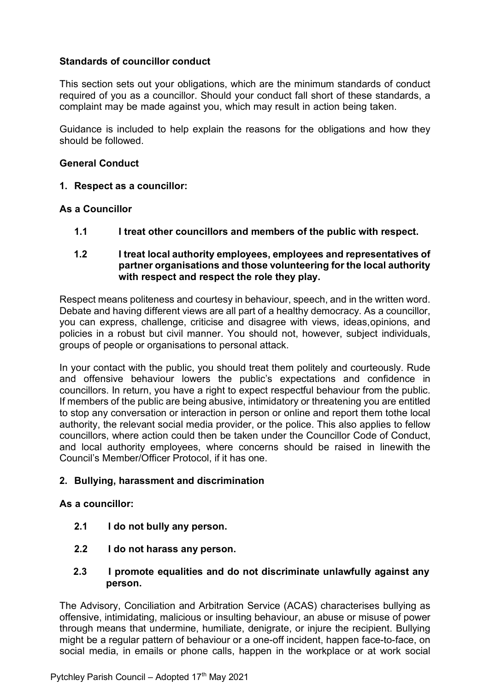# **Standards of councillor conduct**

This section sets out your obligations, which are the minimum standards of conduct required of you as a councillor. Should your conduct fall short of these standards, a complaint may be made against you, which may result in action being taken.

Guidance is included to help explain the reasons for the obligations and how they should be followed.

## **General Conduct**

**1. Respect as a councillor:**

## **As a Councillor**

**1.1 I treat other councillors and members of the public with respect.**

## **1.2 I treat local authority employees, employees and representatives of partner organisations and those volunteering for the local authority with respect and respect the role they play.**

Respect means politeness and courtesy in behaviour, speech, and in the written word. Debate and having different views are all part of a healthy democracy. As a councillor, you can express, challenge, criticise and disagree with views, ideas,opinions, and policies in a robust but civil manner. You should not, however, subject individuals, groups of people or organisations to personal attack.

In your contact with the public, you should treat them politely and courteously. Rude and offensive behaviour lowers the public's expectations and confidence in councillors. In return, you have a right to expect respectful behaviour from the public. If members of the public are being abusive, intimidatory or threatening you are entitled to stop any conversation or interaction in person or online and report them tothe local authority, the relevant social media provider, or the police. This also applies to fellow councillors, where action could then be taken under the Councillor Code of Conduct, and local authority employees, where concerns should be raised in linewith the Council's Member/Officer Protocol, if it has one.

## **2. Bullying, harassment and discrimination**

## **As a councillor:**

- **2.1 I do not bully any person.**
- **2.2 I do not harass any person.**
- **2.3 I promote equalities and do not discriminate unlawfully against any person.**

The Advisory, Conciliation and Arbitration Service (ACAS) characterises bullying as offensive, intimidating, malicious or insulting behaviour, an abuse or misuse of power through means that undermine, humiliate, denigrate, or injure the recipient. Bullying might be a regular pattern of behaviour or a one-off incident, happen face-to-face, on social media, in emails or phone calls, happen in the workplace or at work social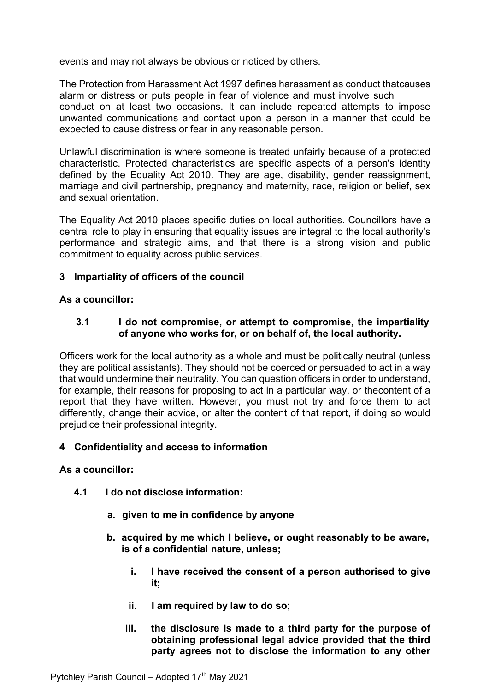events and may not always be obvious or noticed by others.

The Protection from Harassment Act 1997 defines harassment as conduct thatcauses alarm or distress or puts people in fear of violence and must involve such conduct on at least two occasions. It can include repeated attempts to impose unwanted communications and contact upon a person in a manner that could be expected to cause distress or fear in any reasonable person.

Unlawful discrimination is where someone is treated unfairly because of a protected characteristic. Protected characteristics are specific aspects of a person's identity defined by the Equality Act 2010. They are age, disability, gender reassignment, marriage and civil partnership, pregnancy and maternity, race, religion or belief, sex and sexual orientation.

The Equality Act 2010 places specific duties on local authorities. Councillors have a central role to play in ensuring that equality issues are integral to the local authority's performance and strategic aims, and that there is a strong vision and public commitment to equality across public services.

## **3 Impartiality of officers of the council**

## **As a councillor:**

## **3.1 I do not compromise, or attempt to compromise, the impartiality of anyone who works for, or on behalf of, the local authority.**

Officers work for the local authority as a whole and must be politically neutral (unless they are political assistants). They should not be coerced or persuaded to act in a way that would undermine their neutrality. You can question officers in order to understand, for example, their reasons for proposing to act in a particular way, or thecontent of a report that they have written. However, you must not try and force them to act differently, change their advice, or alter the content of that report, if doing so would prejudice their professional integrity.

## **4 Confidentiality and access to information**

## **As a councillor:**

- **4.1 I do not disclose information:**
	- **a. given to me in confidence by anyone**
	- **b. acquired by me which I believe, or ought reasonably to be aware, is of a confidential nature, unless;**
		- **i. I have received the consent of a person authorised to give it;**
		- **ii. I am required by law to do so;**
		- **iii. the disclosure is made to a third party for the purpose of obtaining professional legal advice provided that the third party agrees not to disclose the information to any other**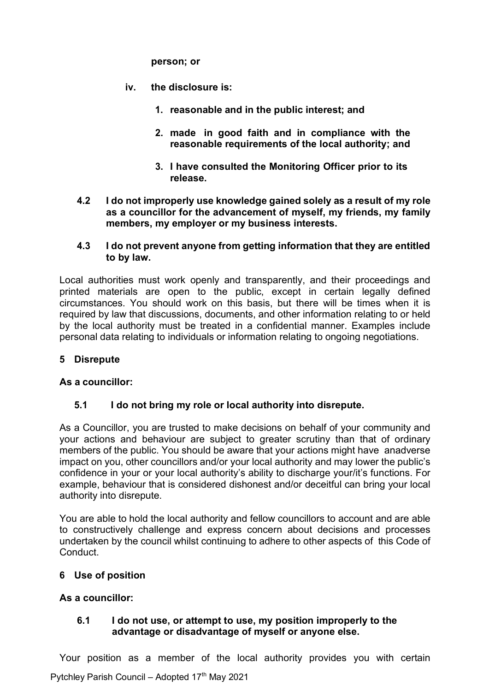**person; or**

- **iv. the disclosure is:**
	- **1. reasonable and in the public interest; and**
	- **2. made in good faith and in compliance with the reasonable requirements of the local authority; and**
	- **3. I have consulted the Monitoring Officer prior to its release.**
- **4.2 I do not improperly use knowledge gained solely as a result of my role as a councillor for the advancement of myself, my friends, my family members, my employer or my business interests.**

## **4.3 I do not prevent anyone from getting information that they are entitled to by law.**

Local authorities must work openly and transparently, and their proceedings and printed materials are open to the public, except in certain legally defined circumstances. You should work on this basis, but there will be times when it is required by law that discussions, documents, and other information relating to or held by the local authority must be treated in a confidential manner. Examples include personal data relating to individuals or information relating to ongoing negotiations.

# **5 Disrepute**

## **As a councillor:**

## **5.1 I do not bring my role or local authority into disrepute.**

As a Councillor, you are trusted to make decisions on behalf of your community and your actions and behaviour are subject to greater scrutiny than that of ordinary members of the public. You should be aware that your actions might have anadverse impact on you, other councillors and/or your local authority and may lower the public's confidence in your or your local authority's ability to discharge your/it's functions. For example, behaviour that is considered dishonest and/or deceitful can bring your local authority into disrepute.

You are able to hold the local authority and fellow councillors to account and are able to constructively challenge and express concern about decisions and processes undertaken by the council whilst continuing to adhere to other aspects of this Code of Conduct.

## **6 Use of position**

# **As a councillor:**

## **6.1 I do not use, or attempt to use, my position improperly to the advantage or disadvantage of myself or anyone else.**

Your position as a member of the local authority provides you with certain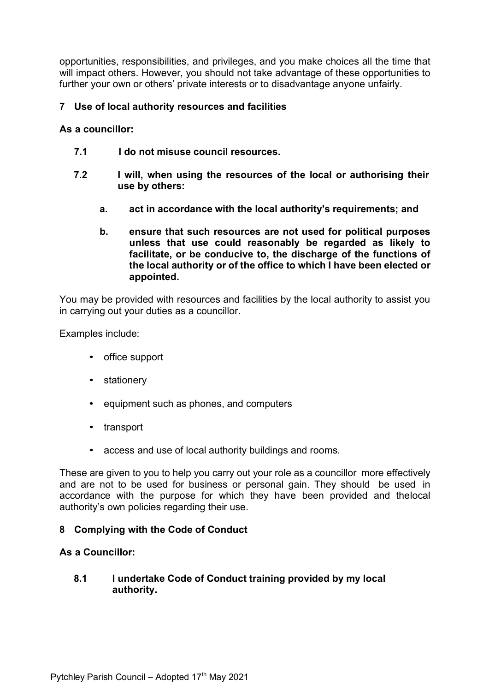opportunities, responsibilities, and privileges, and you make choices all the time that will impact others. However, you should not take advantage of these opportunities to further your own or others' private interests or to disadvantage anyone unfairly.

## **7 Use of local authority resources and facilities**

## **As a councillor:**

- **7.1 I do not misuse council resources.**
- **7.2 I will, when using the resources of the local or authorising their use by others:**
	- **a. act in accordance with the local authority's requirements; and**
	- **b. ensure that such resources are not used for political purposes unless that use could reasonably be regarded as likely to facilitate, or be conducive to, the discharge of the functions of the local authority or of the office to which I have been elected or appointed.**

You may be provided with resources and facilities by the local authority to assist you in carrying out your duties as a councillor.

Examples include:

- office support
- stationery
- equipment such as phones, and computers
- transport
- access and use of local authority buildings and rooms.

These are given to you to help you carry out your role as a councillor more effectively and are not to be used for business or personal gain. They should be used in accordance with the purpose for which they have been provided and thelocal authority's own policies regarding their use.

## **8 Complying with the Code of Conduct**

## **As a Councillor:**

## **8.1 I undertake Code of Conduct training provided by my local authority.**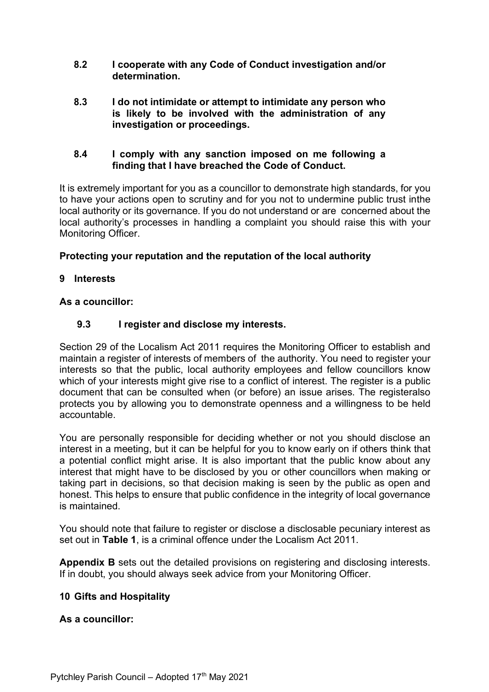- **8.2 I cooperate with any Code of Conduct investigation and/or determination.**
- **8.3 I do not intimidate or attempt to intimidate any person who is likely to be involved with the administration of any investigation or proceedings.**

## **8.4 I comply with any sanction imposed on me following a finding that I have breached the Code of Conduct.**

It is extremely important for you as a councillor to demonstrate high standards, for you to have your actions open to scrutiny and for you not to undermine public trust inthe local authority or its governance. If you do not understand or are concerned about the local authority's processes in handling a complaint you should raise this with your Monitoring Officer.

# **Protecting your reputation and the reputation of the local authority**

# **9 Interests**

# **As a councillor:**

# **9.3 I register and disclose my interests.**

Section 29 of the Localism Act 2011 requires the Monitoring Officer to establish and maintain a register of interests of members of the authority. You need to register your interests so that the public, local authority employees and fellow councillors know which of your interests might give rise to a conflict of interest. The register is a public document that can be consulted when (or before) an issue arises. The registeralso protects you by allowing you to demonstrate openness and a willingness to be held accountable.

You are personally responsible for deciding whether or not you should disclose an interest in a meeting, but it can be helpful for you to know early on if others think that a potential conflict might arise. It is also important that the public know about any interest that might have to be disclosed by you or other councillors when making or taking part in decisions, so that decision making is seen by the public as open and honest. This helps to ensure that public confidence in the integrity of local governance is maintained.

You should note that failure to register or disclose a disclosable pecuniary interest as set out in **Table 1**, is a criminal offence under the Localism Act 2011.

**Appendix B** sets out the detailed provisions on registering and disclosing interests. If in doubt, you should always seek advice from your Monitoring Officer.

# **10 Gifts and Hospitality**

# **As a councillor:**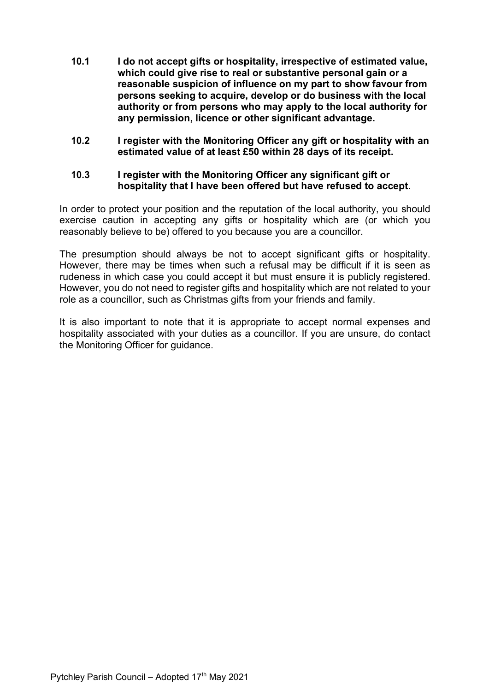- **10.1 I do not accept gifts or hospitality, irrespective of estimated value, which could give rise to real or substantive personal gain or a reasonable suspicion of influence on my part to show favour from persons seeking to acquire, develop or do business with the local authority or from persons who may apply to the local authority for any permission, licence or other significant advantage.**
- **10.2 I register with the Monitoring Officer any gift or hospitality with an estimated value of at least £50 within 28 days of its receipt.**

## **10.3 I register with the Monitoring Officer any significant gift or hospitality that I have been offered but have refused to accept.**

In order to protect your position and the reputation of the local authority, you should exercise caution in accepting any gifts or hospitality which are (or which you reasonably believe to be) offered to you because you are a councillor.

The presumption should always be not to accept significant gifts or hospitality. However, there may be times when such a refusal may be difficult if it is seen as rudeness in which case you could accept it but must ensure it is publicly registered. However, you do not need to register gifts and hospitality which are not related to your role as a councillor, such as Christmas gifts from your friends and family.

It is also important to note that it is appropriate to accept normal expenses and hospitality associated with your duties as a councillor. If you are unsure, do contact the Monitoring Officer for guidance.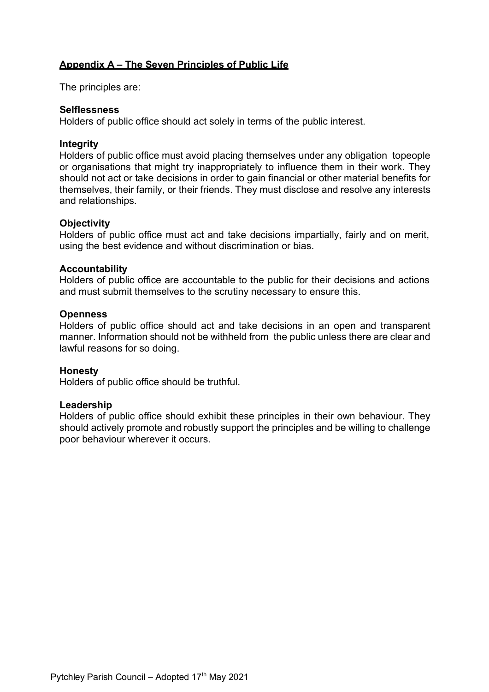# **Appendix A – The Seven Principles of Public Life**

The principles are:

## **Selflessness**

Holders of public office should act solely in terms of the public interest.

## **Integrity**

Holders of public office must avoid placing themselves under any obligation topeople or organisations that might try inappropriately to influence them in their work. They should not act or take decisions in order to gain financial or other material benefits for themselves, their family, or their friends. They must disclose and resolve any interests and relationships.

## **Objectivity**

Holders of public office must act and take decisions impartially, fairly and on merit, using the best evidence and without discrimination or bias.

## **Accountability**

Holders of public office are accountable to the public for their decisions and actions and must submit themselves to the scrutiny necessary to ensure this.

## **Openness**

Holders of public office should act and take decisions in an open and transparent manner. Information should not be withheld from the public unless there are clear and lawful reasons for so doing.

## **Honesty**

Holders of public office should be truthful.

#### **Leadership**

Holders of public office should exhibit these principles in their own behaviour. They should actively promote and robustly support the principles and be willing to challenge poor behaviour wherever it occurs.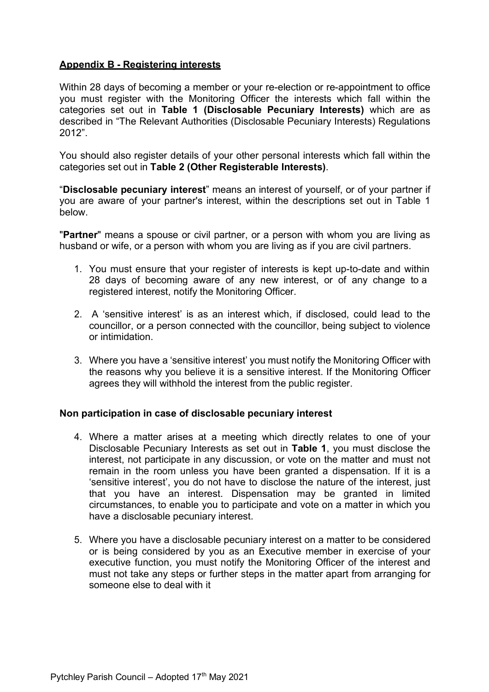# **Appendix B - Registering interests**

Within 28 days of becoming a member or your re-election or re-appointment to office you must register with the Monitoring Officer the interests which fall within the categories set out in **Table 1 (Disclosable Pecuniary Interests)** which are as described in "The Relevant Authorities (Disclosable Pecuniary Interests) Regulations 2012".

You should also register details of your other personal interests which fall within the categories set out in **Table 2 (Other Registerable Interests)**.

"**Disclosable pecuniary interest**" means an interest of yourself, or of your partner if you are aware of your partner's interest, within the descriptions set out in Table 1 below.

"**Partner**" means a spouse or civil partner, or a person with whom you are living as husband or wife, or a person with whom you are living as if you are civil partners.

- 1. You must ensure that your register of interests is kept up-to-date and within 28 days of becoming aware of any new interest, or of any change to a registered interest, notify the Monitoring Officer.
- 2. A 'sensitive interest' is as an interest which, if disclosed, could lead to the councillor, or a person connected with the councillor, being subject to violence or intimidation.
- 3. Where you have a 'sensitive interest' you must notify the Monitoring Officer with the reasons why you believe it is a sensitive interest. If the Monitoring Officer agrees they will withhold the interest from the public register.

## **Non participation in case of disclosable pecuniary interest**

- 4. Where a matter arises at a meeting which directly relates to one of your Disclosable Pecuniary Interests as set out in **Table 1**, you must disclose the interest, not participate in any discussion, or vote on the matter and must not remain in the room unless you have been granted a dispensation. If it is a 'sensitive interest', you do not have to disclose the nature of the interest, just that you have an interest. Dispensation may be granted in limited circumstances, to enable you to participate and vote on a matter in which you have a disclosable pecuniary interest.
- 5. Where you have a disclosable pecuniary interest on a matter to be considered or is being considered by you as an Executive member in exercise of your executive function, you must notify the Monitoring Officer of the interest and must not take any steps or further steps in the matter apart from arranging for someone else to deal with it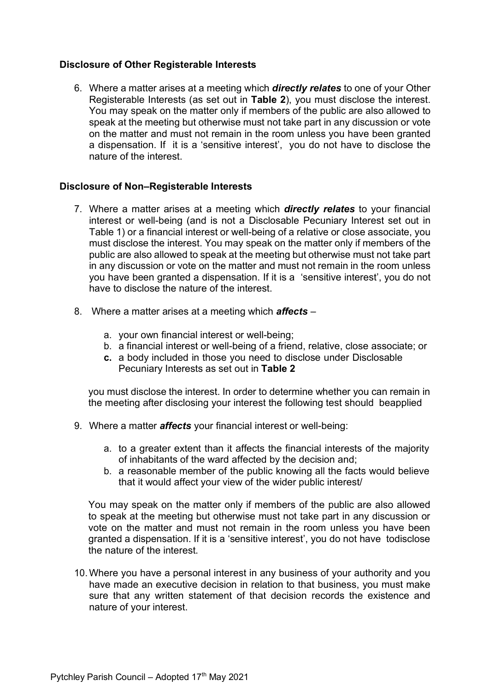## **Disclosure of Other Registerable Interests**

6. Where a matter arises at a meeting which *directly relates* to one of your Other Registerable Interests (as set out in **Table 2**), you must disclose the interest. You may speak on the matter only if members of the public are also allowed to speak at the meeting but otherwise must not take part in any discussion or vote on the matter and must not remain in the room unless you have been granted a dispensation. If it is a 'sensitive interest', you do not have to disclose the nature of the interest.

## **Disclosure of Non–Registerable Interests**

- 7. Where a matter arises at a meeting which *directly relates* to your financial interest or well-being (and is not a Disclosable Pecuniary Interest set out in Table 1) or a financial interest or well-being of a relative or close associate, you must disclose the interest. You may speak on the matter only if members of the public are also allowed to speak at the meeting but otherwise must not take part in any discussion or vote on the matter and must not remain in the room unless you have been granted a dispensation. If it is a 'sensitive interest', you do not have to disclose the nature of the interest.
- 8. Where a matter arises at a meeting which *affects*
	- a. your own financial interest or well-being;
	- b. a financial interest or well-being of a friend, relative, close associate; or
	- **c.** a body included in those you need to disclose under Disclosable Pecuniary Interests as set out in **Table 2**

you must disclose the interest. In order to determine whether you can remain in the meeting after disclosing your interest the following test should beapplied

- 9. Where a matter *affects* your financial interest or well-being:
	- a. to a greater extent than it affects the financial interests of the majority of inhabitants of the ward affected by the decision and;
	- b. a reasonable member of the public knowing all the facts would believe that it would affect your view of the wider public interest/

You may speak on the matter only if members of the public are also allowed to speak at the meeting but otherwise must not take part in any discussion or vote on the matter and must not remain in the room unless you have been granted a dispensation. If it is a 'sensitive interest', you do not have todisclose the nature of the interest.

10.Where you have a personal interest in any business of your authority and you have made an executive decision in relation to that business, you must make sure that any written statement of that decision records the existence and nature of your interest.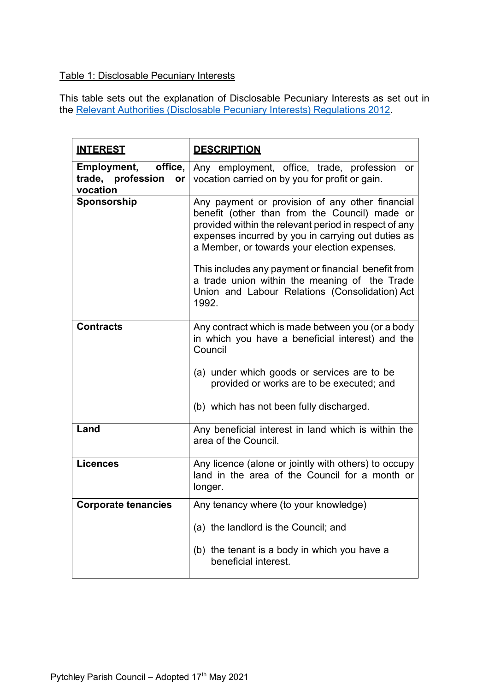# Table 1: Disclosable Pecuniary Interests

This table sets out the explanation of Disclosable Pecuniary Interests as set out in the **Relevant Authorities (Disclosable Pecuniary Interests) Regulations 2012.** 

| <b>INTEREST</b>                                               | <b>DESCRIPTION</b>                                                                                                                                                                                                                                                                                                                                                                                                                 |
|---------------------------------------------------------------|------------------------------------------------------------------------------------------------------------------------------------------------------------------------------------------------------------------------------------------------------------------------------------------------------------------------------------------------------------------------------------------------------------------------------------|
| office,<br>Employment,<br>trade, profession<br>or<br>vocation | Any employment, office, trade, profession<br>or -<br>vocation carried on by you for profit or gain.                                                                                                                                                                                                                                                                                                                                |
| Sponsorship                                                   | Any payment or provision of any other financial<br>benefit (other than from the Council) made or<br>provided within the relevant period in respect of any<br>expenses incurred by you in carrying out duties as<br>a Member, or towards your election expenses.<br>This includes any payment or financial benefit from<br>a trade union within the meaning of the Trade<br>Union and Labour Relations (Consolidation) Act<br>1992. |
| <b>Contracts</b>                                              | Any contract which is made between you (or a body<br>in which you have a beneficial interest) and the<br>Council<br>(a) under which goods or services are to be<br>provided or works are to be executed; and<br>(b) which has not been fully discharged.                                                                                                                                                                           |
| Land                                                          | Any beneficial interest in land which is within the<br>area of the Council.                                                                                                                                                                                                                                                                                                                                                        |
| <b>Licences</b>                                               | Any licence (alone or jointly with others) to occupy<br>land in the area of the Council for a month or<br>longer.                                                                                                                                                                                                                                                                                                                  |
| <b>Corporate tenancies</b>                                    | Any tenancy where (to your knowledge)                                                                                                                                                                                                                                                                                                                                                                                              |
|                                                               | (a) the landlord is the Council; and                                                                                                                                                                                                                                                                                                                                                                                               |
|                                                               | (b) the tenant is a body in which you have a<br>beneficial interest.                                                                                                                                                                                                                                                                                                                                                               |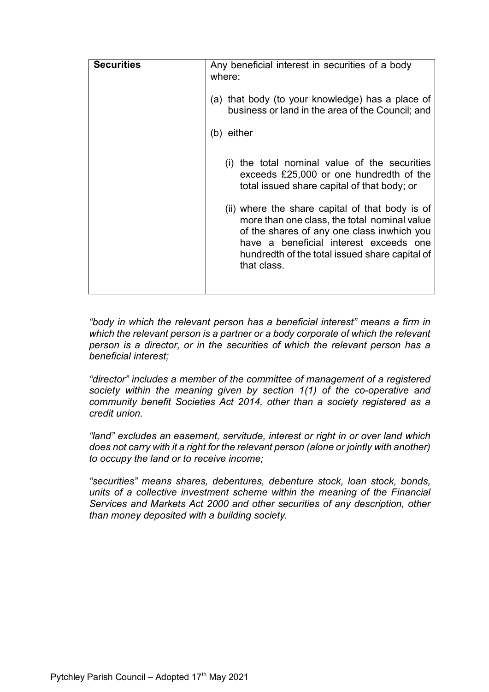| <b>Securities</b> | Any beneficial interest in securities of a body                                                                                                                                                                                                          |
|-------------------|----------------------------------------------------------------------------------------------------------------------------------------------------------------------------------------------------------------------------------------------------------|
|                   | where:                                                                                                                                                                                                                                                   |
|                   | (a) that body (to your knowledge) has a place of<br>business or land in the area of the Council; and                                                                                                                                                     |
|                   | either<br>(b)                                                                                                                                                                                                                                            |
|                   | the total nominal value of the securities<br>(i)<br>exceeds £25,000 or one hundredth of the<br>total issued share capital of that body; or                                                                                                               |
|                   | (ii) where the share capital of that body is of<br>more than one class, the total nominal value<br>of the shares of any one class inwhich you<br>have a beneficial interest exceeds one<br>hundredth of the total issued share capital of<br>that class. |
|                   |                                                                                                                                                                                                                                                          |

*"body in which the relevant person has a beneficial interest" means a firm in which the relevant person is a partner or a body corporate of which the relevant person is a director, or in the securities of which the relevant person has a beneficial interest;*

*"director" includes a member of the committee of management of a registered society within the meaning given by section 1(1) of the co-operative and community benefit Societies Act 2014, other than a society registered as a credit union.*

*"land" excludes an easement, servitude, interest or right in or over land which does not carry with it a right for the relevant person (alone or jointly with another) to occupy the land or to receive income;*

*"securities" means shares, debentures, debenture stock, loan stock, bonds, units of a collective investment scheme within the meaning of the Financial Services and Markets Act 2000 and other securities of any description, other than money deposited with a building society.*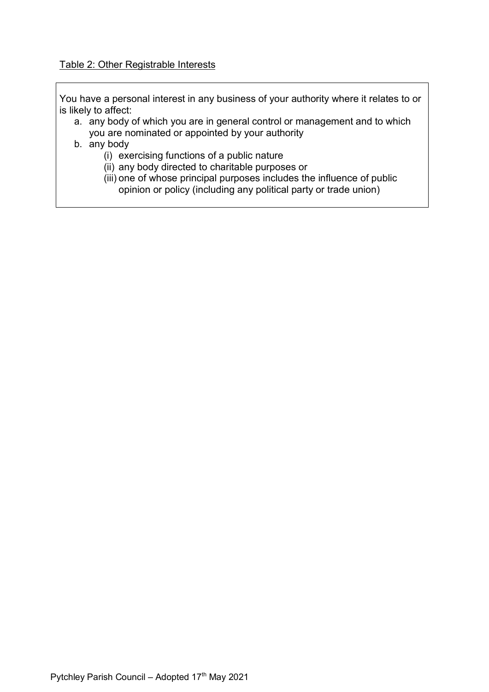## Table 2: Other Registrable Interests

You have a personal interest in any business of your authority where it relates to or is likely to affect:

a. any body of which you are in general control or management and to which you are nominated or appointed by your authority

# b. any body

- (i) exercising functions of a public nature
- (ii) any body directed to charitable purposes or
- (iii) one of whose principal purposes includes the influence of public opinion or policy (including any political party or trade union)